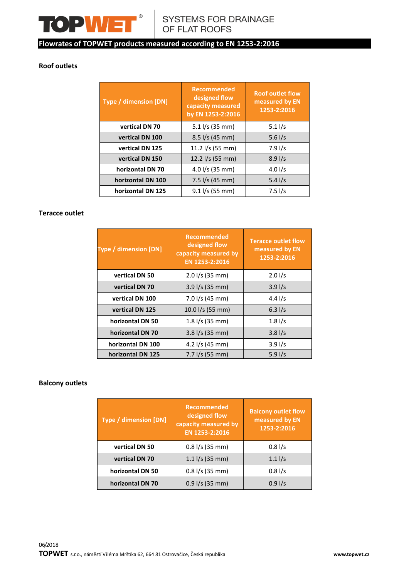

## **Roof outlets**

| Type / dimension [DN] | <b>Recommended</b><br>designed flow<br>capacity measured<br>by EN 1253-2:2016 | <b>Roof outlet flow</b><br>measured by EN<br>1253-2:2016 |
|-----------------------|-------------------------------------------------------------------------------|----------------------------------------------------------|
| vertical DN 70        | $5.1$ I/s (35 mm)                                                             | $5.1$ I/s                                                |
| vertical DN 100       | $8.5$ I/s (45 mm)                                                             | 5.6 $1/s$                                                |
| vertical DN 125       | 11.2 l/s (55 mm)                                                              | $7.9$ I/s                                                |
| vertical DN 150       | 12.2 l/s (55 mm)                                                              | 8.91/s                                                   |
| horizontal DN 70      | 4.0 l/s (35 mm)                                                               | 4.0 $1/s$                                                |
| horizontal DN 100     | $7.5$ I/s (45 mm)                                                             | 5.4 $1/s$                                                |
| horizontal DN 125     | $9.1$ I/s (55 mm)                                                             | $7.5$ I/s                                                |

### **Teracce outlet**

| <b>Type / dimension [DN]</b> | <b>Recommended</b><br>designed flow<br>capacity measured by<br>EN 1253-2:2016 | <b>Teracce outlet flow</b><br>measured by EN<br>1253-2:2016 |  |  |
|------------------------------|-------------------------------------------------------------------------------|-------------------------------------------------------------|--|--|
| vertical DN 50               | $2.0$ I/s (35 mm)                                                             | 2.01/s                                                      |  |  |
| vertical DN 70               | $3.9$ I/s (35 mm)                                                             | 3.91/s                                                      |  |  |
| vertical DN 100              | 7.0 l/s (45 mm)                                                               | 4.4 $1/s$                                                   |  |  |
| vertical DN 125              | 10.0 l/s (55 mm)                                                              | 6.31/s                                                      |  |  |
| horizontal DN 50             | $1.8$ I/s (35 mm)                                                             | 1.81/s                                                      |  |  |
| horizontal DN 70             | $3.8$ I/s (35 mm)                                                             | 3.81/s                                                      |  |  |
| horizontal DN 100            | 4.2 l/s (45 mm)                                                               | 3.91/s                                                      |  |  |
| horizontal DN 125            | $7.7$ I/s (55 mm)                                                             | 5.91/s                                                      |  |  |

## **Balcony outlets**

| <b>Type / dimension [DN]</b> | <b>Recommended</b><br>designed flow<br>capacity measured by<br>EN 1253-2:2016 | <b>Balcony outlet flow</b><br>measured by EN<br>1253-2:2016 |
|------------------------------|-------------------------------------------------------------------------------|-------------------------------------------------------------|
| vertical DN 50               | $0.8$ I/s (35 mm)                                                             | 0.81/s                                                      |
| vertical DN 70               | $1.1$ I/s (35 mm)                                                             | $1.1$ I/s                                                   |
| horizontal DN 50             | $0.8$ I/s (35 mm)                                                             | 0.81/s                                                      |
| horizontal DN 70             | $0.9$ I/s (35 mm)                                                             | 0.91/s                                                      |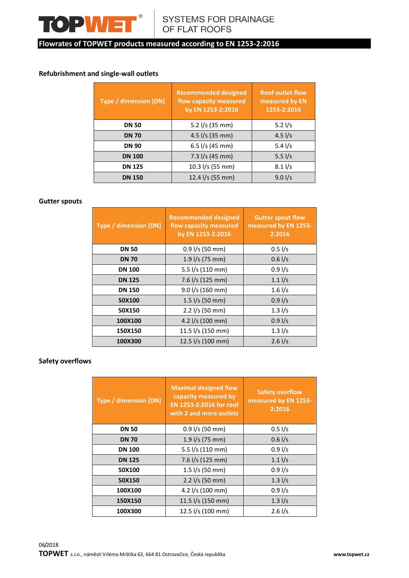

## **Refubrishment and single-wall outlets**

| <b>Type / dimension [DN]</b> | <b>Recommended designed</b><br>flow capacity measured<br>by EN 1253-2:2016 | <b>Roof outlet flow</b><br>measured by EN<br>1253-2:2016 |  |  |
|------------------------------|----------------------------------------------------------------------------|----------------------------------------------------------|--|--|
| <b>DN 50</b>                 | 5.2 l/s (35 mm)                                                            | 5.2 $1/s$                                                |  |  |
| <b>DN 70</b>                 | 4.5 $1/s$ (35 mm)                                                          | 4.5 $1/s$                                                |  |  |
| <b>DN 90</b>                 | 6.5 $1/s$ (45 mm)                                                          | 5.4 $1/s$                                                |  |  |
| <b>DN 100</b>                | $7.3$ I/s (45 mm)                                                          | 5.5 $1/s$                                                |  |  |
| <b>DN 125</b>                | 10.3 l/s (55 mm)                                                           | $8.1$ I/s                                                |  |  |
| <b>DN 150</b>                | 12.4 l/s (55 mm)                                                           | 9.01/s                                                   |  |  |

### **Gutter spouts**

| Type / dimension [DN] | <b>Recommended designed</b><br>flow capacity measured<br>by EN 1253-2:2016 | <b>Gutter spout flow</b><br>measured by EN 1253-<br>2:2016 |  |  |  |  |
|-----------------------|----------------------------------------------------------------------------|------------------------------------------------------------|--|--|--|--|
| <b>DN 50</b>          | $0.9$ I/s (50 mm)                                                          | $0.5$ I/s                                                  |  |  |  |  |
| <b>DN 70</b>          | 1.9 l/s (75 mm)                                                            | 0.61/s                                                     |  |  |  |  |
| <b>DN 100</b>         | 5.5 l/s (110 mm)                                                           | 0.91/s                                                     |  |  |  |  |
| <b>DN 125</b>         | 7.6 l/s (125 mm)                                                           | $1.1$ $I/s$                                                |  |  |  |  |
| <b>DN 150</b>         | 9.0 l/s (160 mm)                                                           | $1.6$ I/s                                                  |  |  |  |  |
| 50X100                | 1.5 $I/s$ (50 mm)                                                          | 0.91/s                                                     |  |  |  |  |
| 50X150                | $2.2$ I/s (50 mm)                                                          | $1.3$ $I/s$                                                |  |  |  |  |
| 100X100               | 4.2 l/s (100 mm)                                                           | 0.91/s                                                     |  |  |  |  |
| 150X150               | 11.5 l/s (150 mm)                                                          | $1.3$ $1/s$                                                |  |  |  |  |
| 100X300               | 12.5 l/s (100 mm)                                                          | $2.6$ I/s                                                  |  |  |  |  |

### **Safety overflows**

| <b>Type / dimension [DN]</b> | <b>Maximal designed flow</b><br>capacity measured by<br>EN 1253-2:2016 for roof<br>with 2 and more outlets | <b>Safety overflow</b><br>measured by EN 1253-<br>2:2016 |  |  |
|------------------------------|------------------------------------------------------------------------------------------------------------|----------------------------------------------------------|--|--|
| <b>DN 50</b>                 | $0.9$ I/s (50 mm)                                                                                          | 0.51/s                                                   |  |  |
| <b>DN 70</b>                 | $1.9$ I/s (75 mm)                                                                                          | 0.61/s                                                   |  |  |
| <b>DN 100</b>                | 5.5 l/s (110 mm)                                                                                           | 0.91/s                                                   |  |  |
| <b>DN 125</b>                | 7.6 l/s (125 mm)                                                                                           | $1.1$ $\frac{1}{s}$                                      |  |  |
| 50X100                       | $1.5$ I/s (50 mm)                                                                                          | 0.91/s                                                   |  |  |
| 50X150                       | $2.2$ I/s (50 mm)                                                                                          | $1.3$ $I/s$                                              |  |  |
| 100X100                      | 4.2 l/s (100 mm)                                                                                           | 0.91/s                                                   |  |  |
| 150X150                      | 11.5 l/s (150 mm)                                                                                          | $1.3$ $I/s$                                              |  |  |
| 100X300                      | 12.5 l/s (100 mm)                                                                                          | 2.61/s                                                   |  |  |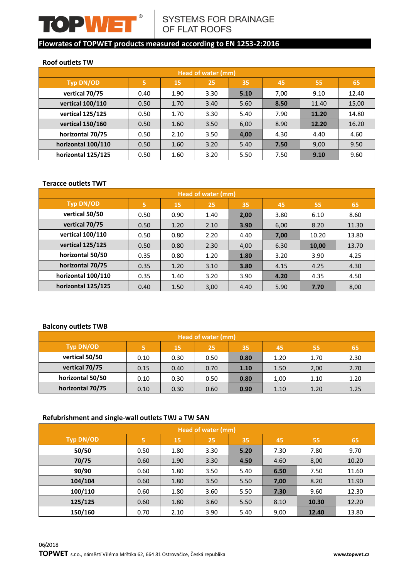

#### **Roof outlets TW**

|                    | Head of water (mm) |      |                      |      |       |       |       |  |  |  |  |  |  |
|--------------------|--------------------|------|----------------------|------|-------|-------|-------|--|--|--|--|--|--|
| Typ DN/OD          | 5                  | 15   | 25                   | 35   | 45    | 55    | 65    |  |  |  |  |  |  |
| vertical 70/75     | 0.40               | 1.90 | 3.30                 | 5.10 | 7,00  | 9.10  | 12.40 |  |  |  |  |  |  |
| vertical 100/110   | 0.50               | 1.70 | 8.50<br>3.40<br>5.60 |      | 11.40 | 15,00 |       |  |  |  |  |  |  |
| vertical 125/125   | 0.50               | 1.70 | 3.30                 | 5.40 | 7.90  | 11.20 | 14.80 |  |  |  |  |  |  |
| vertical 150/160   | 0.50               | 1.60 | 3.50                 | 6,00 | 8.90  | 12.20 | 16.20 |  |  |  |  |  |  |
| horizontal 70/75   | 0.50               | 2.10 | 3.50                 | 4,00 | 4.30  | 4.40  | 4.60  |  |  |  |  |  |  |
| horizontal 100/110 | 0.50               | 1.60 | 3.20                 | 5.40 | 7.50  | 9,00  | 9.50  |  |  |  |  |  |  |
| horizontal 125/125 | 0.50               | 1.60 | 3.20                 | 5.50 | 7.50  | 9.10  | 9.60  |  |  |  |  |  |  |

#### **Teracce outlets TWT**

|                        |      |      | Head of water (mm) |      |      |       |       |
|------------------------|------|------|--------------------|------|------|-------|-------|
| Typ DN/OD              | 5    | 15   | 25                 | 35   | 45   | 55    | 65    |
| vertical 50/50         | 0.50 | 0.90 | 1.40               | 2,00 | 3.80 | 6.10  | 8.60  |
| vertical 70/75<br>0.50 |      | 1.20 | 2.10               | 3.90 | 6,00 | 8.20  | 11.30 |
| vertical 100/110       | 0.50 | 0.80 | 2.20               | 4.40 | 7,00 | 10.20 | 13.80 |
| vertical 125/125       | 0.50 | 0.80 | 2.30               | 4,00 | 6.30 | 10,00 | 13.70 |
| horizontal 50/50       | 0.35 | 0.80 | 1.20               | 1.80 | 3.20 | 3.90  | 4.25  |
| horizontal 70/75       | 0.35 | 1.20 | 3.10               | 3.80 | 4.15 | 4.25  | 4.30  |
| horizontal 100/110     | 0.35 | 1.40 | 3.20               | 3.90 | 4.20 | 4.35  | 4.50  |
| horizontal 125/125     | 0.40 | 1.50 | 3,00               | 4.40 | 5.90 | 7.70  | 8,00  |

#### **Balcony outlets TWB**

| Head of water (mm) |      |      |      |      |      |      |      |  |  |  |  |
|--------------------|------|------|------|------|------|------|------|--|--|--|--|
| Typ DN/OD          | 5    | 15   | 25   | 35   | 45   | 55   | 65   |  |  |  |  |
| vertical 50/50     | 0.10 | 0.30 | 0.50 | 0.80 | 1.20 | 1.70 | 2.30 |  |  |  |  |
| vertical 70/75     | 0.15 | 0.40 | 0.70 | 1.10 | 1.50 | 2,00 | 2.70 |  |  |  |  |
| horizontal 50/50   | 0.10 | 0.30 | 0.50 | 0.80 | 1,00 | 1.10 | 1.20 |  |  |  |  |
| horizontal 70/75   | 0.10 | 0.30 | 0.60 | 0.90 | 1.10 | 1.20 | 1.25 |  |  |  |  |

## **Refubrishment and single-wall outlets TWJ a TW SAN**

|                  | Head of water (mm)                           |      |                      |      |      |       |       |  |  |  |  |  |  |
|------------------|----------------------------------------------|------|----------------------|------|------|-------|-------|--|--|--|--|--|--|
| <b>Typ DN/OD</b> | 5                                            | 15   | 25                   | 35   | 45   | 55    | 65    |  |  |  |  |  |  |
| 50/50            | 7.80<br>1.80<br>5.20<br>7.30<br>0.50<br>3.30 |      |                      | 9.70 |      |       |       |  |  |  |  |  |  |
| 70/75            | 0.60                                         | 1.90 | 3.30                 | 4.50 | 4.60 | 8,00  | 10.20 |  |  |  |  |  |  |
| 90/90            | 0.60                                         | 1.80 | 5.40<br>3.50<br>6.50 |      | 7.50 | 11.60 |       |  |  |  |  |  |  |
| 104/104          | 0.60                                         | 1.80 | 3.50                 | 5.50 | 7,00 | 8.20  | 11.90 |  |  |  |  |  |  |
| 100/110          | 0.60                                         | 1.80 | 3.60                 | 5.50 | 7.30 | 9.60  | 12.30 |  |  |  |  |  |  |
| 125/125          | 0.60                                         | 1.80 | 3.60                 | 5.50 | 8.10 | 10.30 | 12.20 |  |  |  |  |  |  |
| 150/160          | 0.70                                         | 2.10 | 3.90                 | 5.40 | 9,00 | 12.40 | 13.80 |  |  |  |  |  |  |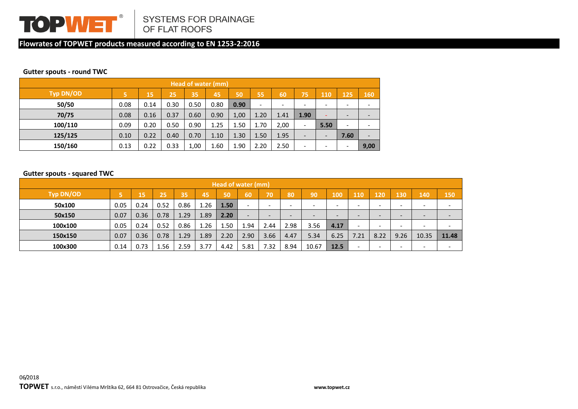

#### **Gutter spouts - round TWC**

| Head of water (mm) |      |      |      |      |      |      |                              |                          |                          |                          |      |                          |
|--------------------|------|------|------|------|------|------|------------------------------|--------------------------|--------------------------|--------------------------|------|--------------------------|
| <b>Typ DN/OD</b>   | ι5,  | '15  | 25   | 35   | 45   | 50   | 55                           | 60                       | 75                       | 110                      | 125  | 160                      |
| 50/50              | 0.08 | 0.14 | 0.30 | 0.50 | 0.80 | 0.90 | $\qquad \qquad \blacksquare$ | $\overline{\phantom{0}}$ | -                        | -                        | -    | $\overline{\phantom{0}}$ |
| 70/75              | 0.08 | 0.16 | 0.37 | 0.60 | 0.90 | 1,00 | 1.20                         | 1.41                     | 1.90                     |                          | ۰    | $\overline{a}$           |
| 100/110            | 0.09 | 0.20 | 0.50 | 0.90 | 1.25 | 1.50 | 1.70                         | 2,00                     | $\overline{\phantom{0}}$ | 5.50                     | ٠    | $\overline{\phantom{0}}$ |
| 125/125            | 0.10 | 0.22 | 0.40 | 0.70 | 1.10 | 1.30 | 1.50                         | 1.95                     |                          | $\overline{\phantom{a}}$ | 7.60 | $\overline{\phantom{a}}$ |
| 150/160            | 0.13 | 0.22 | 0.33 | 1,00 | 1.60 | 1.90 | 2.20                         | 2.50                     | -                        | $\overline{\phantom{0}}$ | ٠    | 9,00                     |

#### **Gutter spouts - squared TWC**

| Head of water (mm) |      |      |      |      |      |      |                          |                          |      |                          |      |      |                                                                                                                                                                                                                                                                                                                                                               |                          |                              |                          |
|--------------------|------|------|------|------|------|------|--------------------------|--------------------------|------|--------------------------|------|------|---------------------------------------------------------------------------------------------------------------------------------------------------------------------------------------------------------------------------------------------------------------------------------------------------------------------------------------------------------------|--------------------------|------------------------------|--------------------------|
| Typ DN/OD          |      | 15   | 25   | 35   | 45   | 50   | <b>GO</b>                | 70                       | 80   | 90                       | 100  | 110  | 120                                                                                                                                                                                                                                                                                                                                                           | 130                      | 140                          | 150                      |
| 50x100             | 0.05 | 0.24 | 0.52 | 0.86 | 1.26 | 1.50 | $\overline{\phantom{a}}$ | $\overline{\phantom{0}}$ | -    | $\overline{\phantom{a}}$ | -    | -    | $\overline{\phantom{0}}$                                                                                                                                                                                                                                                                                                                                      | $\overline{\phantom{a}}$ | $\overline{\phantom{0}}$     | $\overline{\phantom{a}}$ |
| 50x150             | 0.07 | 0.36 | 0.78 | 1.29 | 1.89 | 2.20 | $\overline{\phantom{0}}$ |                          |      | $\overline{\phantom{0}}$ | -    |      | $\hskip1.6pt\hskip1.6pt\hskip1.6pt\hskip1.6pt\hskip1.6pt\hskip1.6pt\hskip1.6pt\hskip1.6pt\hskip1.6pt\hskip1.6pt\hskip1.6pt\hskip1.6pt\hskip1.6pt\hskip1.6pt\hskip1.6pt\hskip1.6pt\hskip1.6pt\hskip1.6pt\hskip1.6pt\hskip1.6pt\hskip1.6pt\hskip1.6pt\hskip1.6pt\hskip1.6pt\hskip1.6pt\hskip1.6pt\hskip1.6pt\hskip1.6pt\hskip1.6pt\hskip1.6pt\hskip1.6pt\hskip$ | -                        | $\qquad \qquad \blacksquare$ | -                        |
| 100x100            | 0.05 | 0.24 | 0.52 | 0.86 | 1.26 | 1.50 | 1.94                     | 2.44                     | 2.98 | 3.56                     | 4.17 |      | $\overline{\phantom{0}}$                                                                                                                                                                                                                                                                                                                                      | -                        | -                            | $\overline{\phantom{a}}$ |
| 150x150            | 0.07 | 0.36 | 0.78 | 1.29 | 1.89 | 2.20 | 2.90                     | 3.66                     | 4.47 | 5.34                     | 6.25 | 7.21 | 8.22                                                                                                                                                                                                                                                                                                                                                          | 9.26                     | 10.35                        | 11.48                    |
| 100x300            | 0.14 | 0.73 | 1.56 | 2.59 | 3.77 | 4.42 | 5.81                     | 7.32                     | 8.94 | 10.67                    | 12.5 |      | $\overline{\phantom{0}}$                                                                                                                                                                                                                                                                                                                                      | $\overline{\phantom{0}}$ | $\overline{\phantom{a}}$     | $\overline{\phantom{0}}$ |